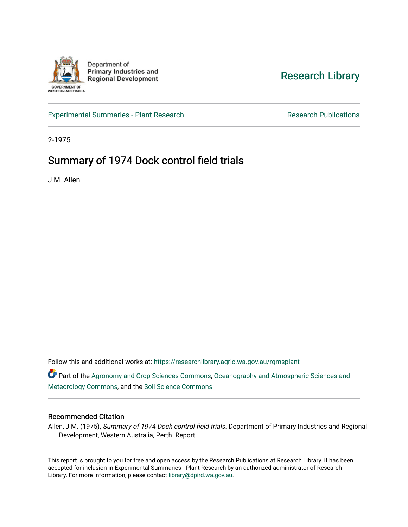

[Research Library](https://researchlibrary.agric.wa.gov.au/) 

[Experimental Summaries - Plant Research](https://researchlibrary.agric.wa.gov.au/rqmsplant) **Research Research Rublications** Research Publications

2-1975

# Summary of 1974 Dock control field trials

J M. Allen

Follow this and additional works at: [https://researchlibrary.agric.wa.gov.au/rqmsplant](https://researchlibrary.agric.wa.gov.au/rqmsplant?utm_source=researchlibrary.agric.wa.gov.au%2Frqmsplant%2F85&utm_medium=PDF&utm_campaign=PDFCoverPages) 

Part of the [Agronomy and Crop Sciences Commons,](http://network.bepress.com/hgg/discipline/103?utm_source=researchlibrary.agric.wa.gov.au%2Frqmsplant%2F85&utm_medium=PDF&utm_campaign=PDFCoverPages) [Oceanography and Atmospheric Sciences and](http://network.bepress.com/hgg/discipline/186?utm_source=researchlibrary.agric.wa.gov.au%2Frqmsplant%2F85&utm_medium=PDF&utm_campaign=PDFCoverPages) [Meteorology Commons](http://network.bepress.com/hgg/discipline/186?utm_source=researchlibrary.agric.wa.gov.au%2Frqmsplant%2F85&utm_medium=PDF&utm_campaign=PDFCoverPages), and the [Soil Science Commons](http://network.bepress.com/hgg/discipline/163?utm_source=researchlibrary.agric.wa.gov.au%2Frqmsplant%2F85&utm_medium=PDF&utm_campaign=PDFCoverPages) 

#### Recommended Citation

Allen, J M. (1975), Summary of 1974 Dock control field trials. Department of Primary Industries and Regional Development, Western Australia, Perth. Report.

This report is brought to you for free and open access by the Research Publications at Research Library. It has been accepted for inclusion in Experimental Summaries - Plant Research by an authorized administrator of Research Library. For more information, please contact [library@dpird.wa.gov.au.](mailto:library@dpird.wa.gov.au)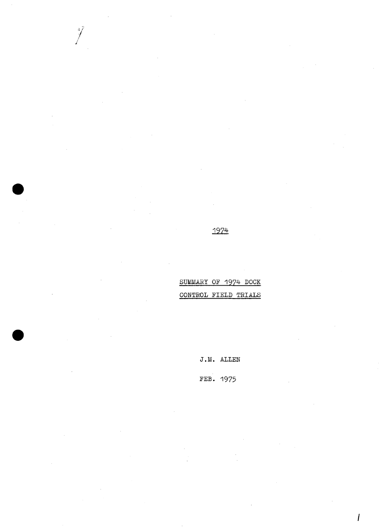## 1974

 $\int$ 

SUMMARY OF 1974 DOCK CONTROL FIELD TRIALS

 $J.M.$  ALLEN

FEB. 1975

 $\prime$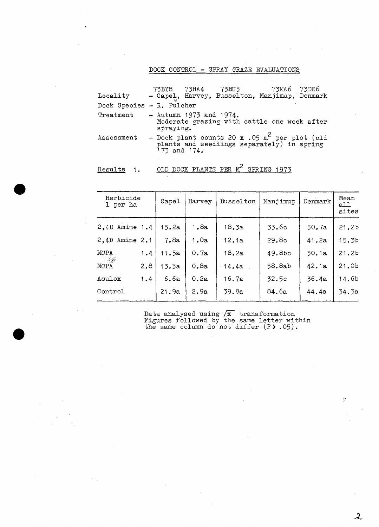#### DOCK CONTROL - SPRAY GRAZE EVALUATIONS

| Locality                  | 73MA6 73DE6<br>- Capel, Harvey, Busselton, Manjimup, Denmark                                                |
|---------------------------|-------------------------------------------------------------------------------------------------------------|
| Dock Species - R. Pulcher |                                                                                                             |
| Treatment                 | $-$ Autumn 1973 and 1974.<br>Moderate grazing with cattle one week after<br>spraying.                       |
| Assessment                | - Dock plant counts 20 x .05 $m^2$ per plot (old plants and seedlings separately) in spring<br>'73 and '74. |
|                           |                                                                                                             |

| Kesults | OLD. | DOCK PLANTS PER M <sup>2</sup> SPRING 1973 |  |
|---------|------|--------------------------------------------|--|
|         |      |                                            |  |

| Herbicide<br>1 per ha |     | Capel | Harvey | Busselton | Manjimup | Denmark | Mean<br>all<br>sites |
|-----------------------|-----|-------|--------|-----------|----------|---------|----------------------|
| $2,4D$ Amine 1.4      |     | 15.2a | 1.8a   | 18.3a     | 33.6c    | 50.7a   | 21.2 <sub>b</sub>    |
| 2.4D Amine 2.1        |     | 7.8a  | 1.0a   | 12.1a     | 29.8c    | 41.2a   | 15.3 <sub>b</sub>    |
| MCPA                  | 1.4 | 11.5a | 0.7a   | 18.2a     | 49.8bc   | 50.1a   | 21.2 <sub>b</sub>    |
| $\sim 100$<br>MCPA    | 2.8 | 13.5a | 0.8a   | 14.4a     | 58.8ab   | 42.1a   | 21.0b                |
| Asulox                | 1.4 | 6.6a  | 0.2a   | 16.7a     | 32.5c    | 36.4a   | 14.6 <sub>b</sub>    |
| Control               |     | 21.9a | 2.9a   | 39.8a     | 84.6a    | 44.4a   | 34.3a                |
|                       |     |       |        |           |          |         |                      |

Data analysed using  $\sqrt{x}$  transformation Figures followed by the same letter within the same column do not differ (P).05).

 $\mathbf{y}^{\mathbf{y}}$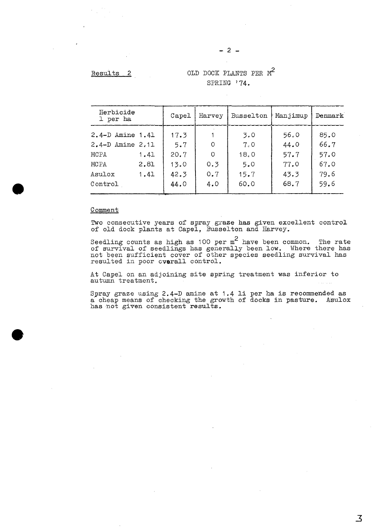Results 2

## OLD DOCK PLANTS PER *rif*  SPRING '74.

| Herbicide<br>1 per ha                |              | Capel        | Harvey     | Busselton   | Manjimup     | Denmark      |
|--------------------------------------|--------------|--------------|------------|-------------|--------------|--------------|
| 2.4-D Amine 1.41<br>2.4-D Amine 2.11 |              | 17.3<br>5.7  | $\Omega$   | 3.0<br>7.0  | 56.0<br>44.0 | 85.0<br>66.7 |
| MCPA                                 | 1.41         | 20.7         | O          | 18.0        | 57.7         | 57.0         |
| MCPA<br>Asulox                       | 2.81<br>1.41 | 13.0<br>42.3 | 0.3<br>0.7 | 5.0<br>15.7 | 77.0<br>43.3 | 67.0<br>79.6 |
| Control                              |              | 44.0         | 4.0        | 60.0        | 68.7         | 59.6         |

#### **Comment**

Two consecutive years of spray graze has given excellent control of old dock plants at Capel, Busselton and Harvey.

Seedling counts as high as 100 per  $m^2$  have been common. The rate of survival of seedlings has generally been low. Where there has not been sufficient cover of other species seedling survival has resulted in poor overall control.

At Capel on an adjoining site spring treatment was inferior to autumn treatment.

Spray graze using 2.4-D amine at 1.4 li per ha is recommended as a cheap means of checking the growth of docks in pasture. Asulox a eneap means of encealing one grow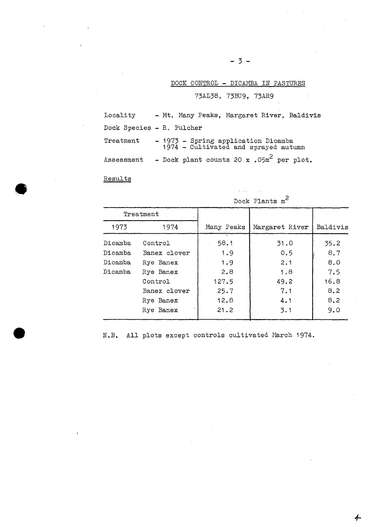#### DOCK CONTROL - DICAMBA IN PASTURES

73AL38, 73BU9, 73AR9

| Locality                  |  |  |                                                                             | - Mt. Many Peaks, Margaret River, Baldivis |
|---------------------------|--|--|-----------------------------------------------------------------------------|--------------------------------------------|
| Dock Species - R. Pulcher |  |  |                                                                             |                                            |
| Treatment                 |  |  | - 1973 - Spring application Dicamba<br>1974 - Cultivated and sprayed autumn |                                            |
| Assessment                |  |  | - Dock plant counts 20 x .05m <sup>2</sup> per plot.                        |                                            |

Results

|         | Treatment    |            |                |          |  |  |
|---------|--------------|------------|----------------|----------|--|--|
| 1973    | 1974         | Many Peaks | Margaret River | Baldivis |  |  |
| Dicamba | Control      | 58.1       | 31.0           | 35.2     |  |  |
| Dicamba | Banex clover | 1.9        | 0.5            | 8.7      |  |  |
| Dicamba | Rye Banex    | 1.9        | 2.1            | 8.0      |  |  |
| Dicamba | Rye Banex    | 2,8        | 1.8            | 7.5      |  |  |
|         | Control      | 127.5      | 49.2           | 16.8     |  |  |
|         | Banex clover | 25.7       | 7.1            | 8.2      |  |  |
|         | Rye Banex    | 12.8       | 4.1            | 8.2      |  |  |
|         | Rye Banex    | 21.2       | 3.1            | 9.0      |  |  |

Dock Plants m2

 $\label{eq:2.1} \frac{1}{\sqrt{2\pi}}\frac{1}{\sqrt{2\pi}}\frac{1}{\sqrt{2\pi}}\left(\frac{1}{\sqrt{2\pi}}\right)^{1/2}\frac{1}{\sqrt{2\pi}}\frac{1}{\sqrt{2\pi}}\,.$ 

N.B. All plots except controls cultivated March 1974.